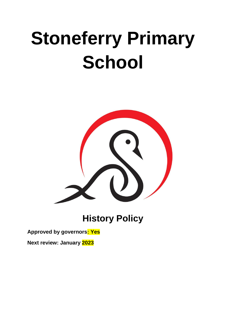# **Stoneferry Primary School**



**History Policy**

**Approved by governors: Yes**

**Next review: January 2023**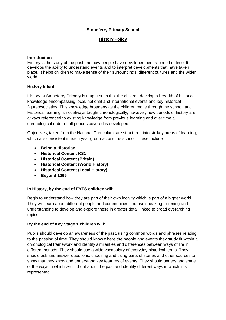# **Stoneferry Primary School**

# **History Policy**

# **Introduction**

History is the study of the past and how people have developed over a period of time. It develops the ability to understand events and to interpret developments that have taken place. It helps children to make sense of their surroundings, different cultures and the wider world.

# **History Intent**

History at Stoneferry Primary is taught such that the children develop a breadth of historical knowledge encompassing local, national and international events and key historical figures/societies. This knowledge broadens as the children move through the school. and. Historical learning is not always taught chronologically, however, new periods of history are always referenced to existing knowledge from previous learning and over time a chronological order of all periods covered is developed.

Objectives, taken from the National Curriculum, are structured into six key areas of learning, which are consistent in each year group across the school. These include:

- **Being a Historian**
- **Historical Content KS1**
- **Historical Content (Britain)**
- **Historical Content (World History)**
- **Historical Content (Local History)**
- **Beyond 1066**

# **In History, by the end of EYFS children will:**

Begin to understand how they are part of their own locality which is part of a bigger world. They will learn about different people and communities and use speaking, listening and understanding to develop and explore these in greater detail linked to broad overarching topics.

# **By the end of Key Stage 1 children will:**

Pupils should develop an awareness of the past, using common words and phrases relating to the passing of time. They should know where the people and events they study fit within a chronological framework and identify similarities and differences between ways of life in different periods. They should use a wide vocabulary of everyday historical terms. They should ask and answer questions, choosing and using parts of stories and other sources to show that they know and understand key features of events. They should understand some of the ways in which we find out about the past and identify different ways in which it is represented.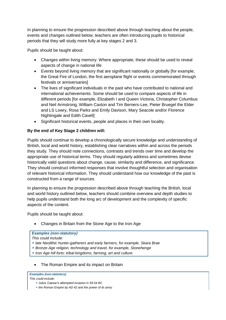In planning to ensure the progression described above through teaching about the people, events and changes outlined below, teachers are often introducing pupils to historical periods that they will study more fully at key stages 2 and 3.

Pupils should be taught about:

- Changes within living memory. Where appropriate, these should be used to reveal aspects of change in national life
- Events beyond living memory that are significant nationally or globally [for example, the Great Fire of London, the first aeroplane flight or events commemorated through festivals or anniversaries]
- The lives of significant individuals in the past who have contributed to national and international achievements. Some should be used to compare aspects of life in different periods [for example, Elizabeth I and Queen Victoria, Christopher Columbus and Neil Armstrong, William Caxton and Tim Berners-Lee, Pieter Bruegel the Elder and LS Lowry, Rosa Parks and Emily Davison, Mary Seacole and/or Florence Nightingale and Edith Cavell]
- Significant historical events, people and places in their own locality.

# **By the end of Key Stage 2 children will:**

Pupils should continue to develop a chronologically secure knowledge and understanding of British, local and world history, establishing clear narratives within and across the periods they study. They should note connections, contrasts and trends over time and develop the appropriate use of historical terms. They should regularly address and sometimes devise historically valid questions about change, cause, similarity and difference, and significance. They should construct informed responses that involve thoughtful selection and organisation of relevant historical information. They should understand how our knowledge of the past is constructed from a range of sources.

In planning to ensure the progression described above through teaching the British, local and world history outlined below, teachers should combine overview and depth studies to help pupils understand both the long arc of development and the complexity of specific aspects of the content.

Pupils should be taught about:

Changes in Britain from the Stone Age to the Iron Age

# *Examples (non-statutory)*

- *This could include:*
- *late Neolithic hunter-gatherers and early farmers, for example, Skara Brae*
- *Bronze Age religion, technology and travel, for example, Stonehenge*
- *Iron Age hill forts: tribal kingdoms, farming, art and culture*
- The Roman Empire and its impact on Britain

|                     | <b>Examples (non-statutory)</b> |
|---------------------|---------------------------------|
| This could include: |                                 |

- *Julius Caesar's attempted invasion in 55-54 BC*
- *the Roman Empire by AD 42 and the power of its army*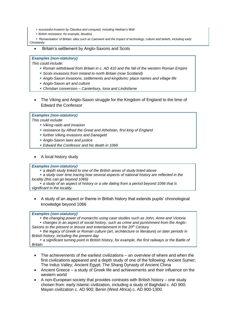- *successful invasion by Claudius and conquest, including Hadrian's Wall*
- *British resistance, for example, Boudica*

 *'Romanisation' of Britain: sites such as Caerwent and the impact of technology, culture and beliefs, including early Christianity*

Britain's settlement by Anglo-Saxons and Scots

#### *Examples (non-statutory)*

*This could include:*

- *Roman withdrawal from Britain in c. AD 410 and the fall of the western Roman Empire*
- *Scots invasions from Ireland to north Britain (now Scotland)*
- *Anglo-Saxon invasions, settlements and kingdoms: place names and village life*
- *Anglo-Saxon art and culture*
- *Christian conversion – Canterbury, Iona and Lindisfarne*
- The Viking and Anglo-Saxon struggle for the Kingdom of England to the time of Edward the Confessor

#### *Examples (non-statutory)*

*This could include:*

- *Viking raids and invasion*
- *resistance by Alfred the Great and Athelstan, first king of England*
- *further Viking invasions and Danegeld*
- *Anglo-Saxon laws and justice*
- *Edward the Confessor and his death in 1066*
- A local history study

## *Examples (non-statutory)*

- *a depth study linked to one of the British areas of study listed above*
- *a study over time tracing how several aspects of national history are reflected in the locality (this can go beyond 1066)*

 *a study of an aspect of history or a site dating from a period beyond 1066 that is significant in the locality.*

 A study of an aspect or theme in British history that extends pupils' chronological knowledge beyond 1066

### *Examples (non-statutory)*

*the changing power of monarchs using case studies such as John, Anne and Victoria*

 *changes in an aspect of social history, such as crime and punishment from the Anglo-Saxons to the present or leisure and entertainment in the 20th Century*

 *the legacy of Greek or Roman culture (art, architecture or literature) on later periods in British history, including the present day*

 *a significant turning point in British history, for example, the first railways or the Battle of Britain*

- The achievements of the earliest civilizations an overview of where and when the first civilizations appeared and a depth study of one of the following: Ancient Sumer; The Indus Valley; Ancient Egypt; The Shang Dynasty of Ancient China
- Ancient Greece a study of Greek life and achievements and their influence on the western world
- A non-European society that provides contrasts with British history one study chosen from: early Islamic civilization, including a study of Baghdad c. AD 900; Mayan civilization c. AD 900; Benin (West Africa) c. AD 900-1300.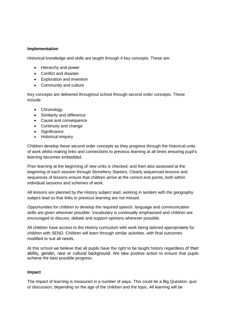# **Implementation**

Historical knowledge and skills are taught through 4 key concepts. These are:

- Hierarchy and power
- Conflict and disaster
- Exploration and invention
- Community and culture

Key concepts are delivered throughout school through second order concepts. These include:

- Chronology
- Similarity and difference
- Cause and consequence
- Continuity and change
- Significance
- Historical enquiry

Children develop these second order concepts as they progress through the historical units of work whilst making links and connections to previous learning at all times ensuring pupil's learning becomes embedded.

Prior learning at the beginning of new units is checked, and then also assessed at the beginning of each session through Stoneferry Starters. Clearly sequenced lessons and sequences of lessons ensure that children arrive at the correct end points, both within individual sessions and schemes of work.

All lessons are planned by the History subject lead, working in tandem with the geography subject lead so that links to previous learning are not missed.

Opportunities for children to develop the required speech, language and communication skills are given wherever possible. Vocabulary is continually emphasised and children are encouraged to discuss, debate and support opinions wherever possible.

All children have access to the History curriculum with work being tailored appropriately for children with SEND. Children will learn through similar activities, with final outcomes modified to suit all needs.

At this school we believe that all pupils have the right to be taught history regardless of their ability, gender, race or cultural background. We take positive action to ensure that pupils achieve the best possible progress.

# **Impact**

The impact of learning is measured in a number of ways. This could be a Big Question, quiz or discussion, depending on the age of the children and the topic. All learning will be